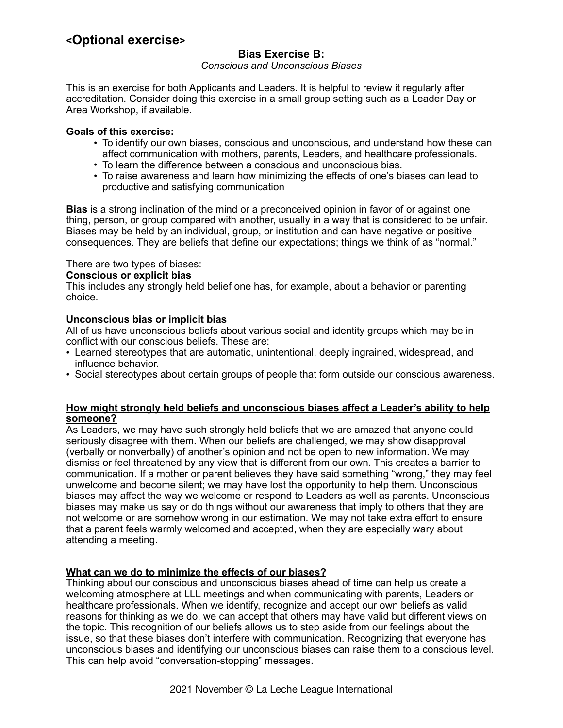# **<Optional exercise>**

# **Bias Exercise B:**

*Conscious and Unconscious Biases*

This is an exercise for both Applicants and Leaders. It is helpful to review it regularly after accreditation. Consider doing this exercise in a small group setting such as a Leader Day or Area Workshop, if available.

### **Goals of this exercise:**

- To identify our own biases, conscious and unconscious, and understand how these can affect communication with mothers, parents, Leaders, and healthcare professionals.
- To learn the difference between a conscious and unconscious bias.
- To raise awareness and learn how minimizing the effects of one's biases can lead to productive and satisfying communication

**Bias** is a strong inclination of the mind or a preconceived opinion in favor of or against one thing, person, or group compared with another, usually in a way that is considered to be unfair. Biases may be held by an individual, group, or institution and can have negative or positive consequences. They are beliefs that define our expectations; things we think of as "normal."

### There are two types of biases:

### **Conscious or explicit bias**

This includes any strongly held belief one has, for example, about a behavior or parenting choice.

### **Unconscious bias or implicit bias**

All of us have unconscious beliefs about various social and identity groups which may be in conflict with our conscious beliefs. These are:

- Learned stereotypes that are automatic, unintentional, deeply ingrained, widespread, and influence behavior.
- Social stereotypes about certain groups of people that form outside our conscious awareness.

#### **How might strongly held beliefs and unconscious biases affect a Leader's ability to help someone?**

As Leaders, we may have such strongly held beliefs that we are amazed that anyone could seriously disagree with them. When our beliefs are challenged, we may show disapproval (verbally or nonverbally) of another's opinion and not be open to new information. We may dismiss or feel threatened by any view that is different from our own. This creates a barrier to communication. If a mother or parent believes they have said something "wrong," they may feel unwelcome and become silent; we may have lost the opportunity to help them. Unconscious biases may affect the way we welcome or respond to Leaders as well as parents. Unconscious biases may make us say or do things without our awareness that imply to others that they are not welcome or are somehow wrong in our estimation. We may not take extra effort to ensure that a parent feels warmly welcomed and accepted, when they are especially wary about attending a meeting.

## **What can we do to minimize the effects of our biases?**

Thinking about our conscious and unconscious biases ahead of time can help us create a welcoming atmosphere at LLL meetings and when communicating with parents, Leaders or healthcare professionals. When we identify, recognize and accept our own beliefs as valid reasons for thinking as we do, we can accept that others may have valid but different views on the topic. This recognition of our beliefs allows us to step aside from our feelings about the issue, so that these biases don't interfere with communication. Recognizing that everyone has unconscious biases and identifying our unconscious biases can raise them to a conscious level. This can help avoid "conversation-stopping" messages.